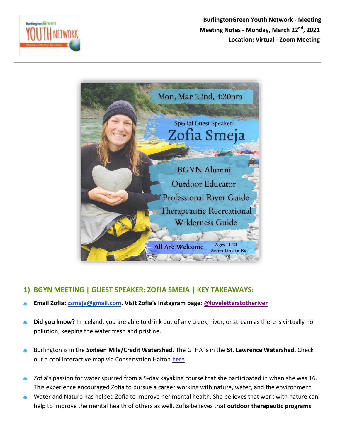

**BurlingtonGreen Youth Network - Meeting Meeting Notes - Monday, March 22nd, 2021 Location: Virtual - Zoom Meeting** 



## **1) BGYN MEETING | GUEST SPEAKER: ZOFIA SMEJA | KEY TAKEAWAYS:**

- **Email Zofia: [zsmeja@gmail.com](mailto:zsmeja@gmail.com). Visit Zofia's Instagram page: [@loveletterstotheriver](https://www.instagram.com/loveletterstotheriver/)**
- **Did you know?** In Iceland, you are able to drink out of any creek, river, or stream as there is virtually no ۵ pollution, keeping the water fresh and pristine.
- Burlington is in the **Sixteen Mile/Credit Watershed.** The GTHA is in the **St. Lawrence Watershed.** Check out a cool interactive map via Conservation Halton [here.](https://camaps.maps.arcgis.com/apps/webappviewer/index.html?id=cc14d108b062400eba13a44da02bf3d3)
- Zofia's passion for water spurred from a 5-day kayaking course that she participated in when she was 16. This experience encouraged Zofia to pursue a career working with nature, water, and the environment.
- Water and Nature has helped Zofia to improve her mental health. She believes that work with nature can help to improve the mental health of others as well. Zofia believes that **outdoor therapeutic programs**